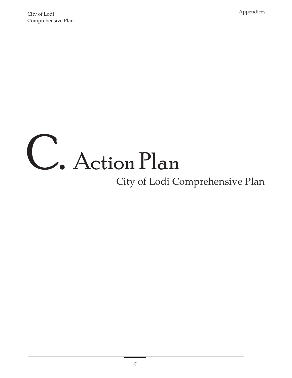## C. Action Plan

## City of Lodi Comprehensive Plan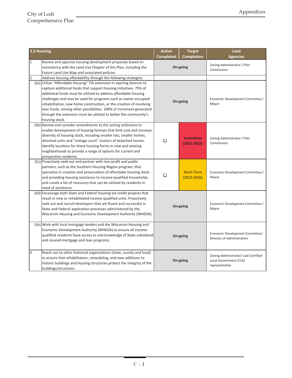| 3.3 Housing    |                                                                                                                                                                                                                                                                                                                                                                                                                                                                                                                       | <b>Action</b>    | <b>Target</b>                       | Lead                                                                             |
|----------------|-----------------------------------------------------------------------------------------------------------------------------------------------------------------------------------------------------------------------------------------------------------------------------------------------------------------------------------------------------------------------------------------------------------------------------------------------------------------------------------------------------------------------|------------------|-------------------------------------|----------------------------------------------------------------------------------|
|                |                                                                                                                                                                                                                                                                                                                                                                                                                                                                                                                       | <b>Completed</b> | <b>Completion</b>                   | <b>Agencies</b>                                                                  |
| 1              | Review and approve housing development proposals based on<br>consistency with the Land Use Chapter of this Plan, including the<br>Future Land Use Map and associated policies.                                                                                                                                                                                                                                                                                                                                        |                  | On-going                            | Zoning Administrator / Plan<br>Commission                                        |
| $\overline{2}$ | Address housing affordability through the following strategies:                                                                                                                                                                                                                                                                                                                                                                                                                                                       |                  |                                     |                                                                                  |
|                | 2(a) Utilize "Affordable Housing" TID extension in expiring districts to<br>capture additional funds that support housing initiatives. 75% of<br>additional funds must be utilized to address affordable housing<br>challenges and may be used for programs such as owner-occupied<br>rehabilitation, new home construction, or the creation of revolving<br>loan funds, among other possibilities. 100% of increment generated<br>through the extension must be utilized to better the community's<br>housing stock. |                  | On-going                            | Economic Development Committee /<br>Mayor                                        |
|                | $2(b)$ Review and consider amendments to the zoning ordinance to<br>enable development of housing formats that limit cost and increase<br>diversity of housing stock, including smaller lots, smaller homes,<br>attached units and "cottage court" clusters of detached homes.<br>Identify locations for these housing forms in new and existing<br>neighborhoods to provide a range of options for current and<br>prospective residents.                                                                             | □                | <b>Immediate</b><br>$(2021 - 2022)$ | Zoning Administrator / Plan<br>Commission                                        |
|                | $2(c)$ Proactively seek out and partner with non-profit and public<br>partners, such as the Southern Housing Region program, that<br>specialize in creation and preservation of affordable housing stock<br>and providing housing assistance to income-qualified households,<br>and create a list of resources that can be utilized by residents in<br>need of assistance.                                                                                                                                            | □                | Short-Term<br>$(2023 - 2026)$       | Economic Development Committee /<br>Mayor                                        |
|                | 2(d) Encourage both State and Federal housing tax credit projects that<br>result in new or rehabilitated income-qualified units. Proactively<br>seek out and recruit developers that are fluent and successful in<br>State and Federal application processes administered by the<br>Wisconsin Housing and Economic Development Authority (WHEDA).                                                                                                                                                                     | On-going         |                                     | Economic Development Committee /<br>Mayor                                        |
|                | 2(e) Work with local mortgage lenders and the Wisconsin Housing and<br>Economic Development Authority (WHEDA) to ensure all income-<br>qualified residents have access to and knowledge of State subsidized<br>and insured mortgage and loan programs.                                                                                                                                                                                                                                                                | On-going         |                                     | Economic Development Committee/<br>Director of Administration                    |
| 3              | Reach out to other historical organizations (state, county and local)<br>to ensure that rehabilitation, remodeling, and new additions to<br>historic buildings and housing structures protect the integrity of the<br>buildings/structures.                                                                                                                                                                                                                                                                           | On-going         |                                     | Zoning Administrator/ Lodi Certified<br>Local Government (CLG)<br>representative |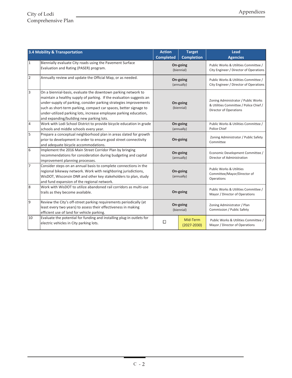|                | 3.4 Mobility & Transportation                                                                       | <b>Action</b>          | <b>Target</b>     | Lead                                                                             |
|----------------|-----------------------------------------------------------------------------------------------------|------------------------|-------------------|----------------------------------------------------------------------------------|
|                |                                                                                                     | <b>Completed</b>       | <b>Completion</b> | <b>Agencies</b>                                                                  |
| 1              | Biennially evaluate City roads using the Pavement Surface<br>Evaluation and Rating (PASER) program. | On-going<br>(biennial) |                   | Public Works & Utilities Committee /<br>City Engineer / Director of Operations   |
|                |                                                                                                     |                        |                   |                                                                                  |
| $\overline{2}$ | Annually review and update the Official Map, or as needed.                                          | On-going<br>(annually) |                   | Public Works & Utilities Committee /<br>City Engineer / Director of Operations   |
| 3              | On a biennial-basis, evaluate the downtown parking network to                                       |                        |                   |                                                                                  |
|                | maintain a healthy supply of parking. If the evaluation suggests an                                 |                        |                   |                                                                                  |
|                | under-supply of parking, consider parking strategies improvements                                   |                        | On-going          | Zoning Administrator / Public Works<br>& Utilities Committee / Police Chief /    |
|                | such as short-term parking, compact car spaces, better signage to                                   |                        | (biennial)        | <b>Director of Operations</b>                                                    |
|                | under-utilized parking lots, increase employee parking education,                                   |                        |                   |                                                                                  |
|                | and expanding/building new parking lots.                                                            |                        |                   |                                                                                  |
| $\overline{4}$ | Work with Lodi School District to provide bicycle education in grade                                |                        | On-going          | Public Works & Utilities Committee /                                             |
|                | schools and middle schools every year.                                                              |                        | (annually)        | Police Chief                                                                     |
| 5              | Prepare a conceptual neighborhood plan in areas slated for growth                                   |                        |                   | Zoning Administrator / Public Safety                                             |
|                | prior to development in order to ensure good street connectivity                                    |                        | On-going          | Committee                                                                        |
|                | and adequate bicycle accommodations.                                                                |                        |                   |                                                                                  |
| 6              | Implement the 2016 Main Street Corridor Plan by bringing                                            | On-going<br>(annually) |                   | Economic Development Committee /                                                 |
|                | recommendations for consideration during budgeting and capital                                      |                        |                   | Director of Administration                                                       |
|                | improvement planning processes.                                                                     |                        |                   |                                                                                  |
| $\overline{7}$ | Consider steps on an annual basis to complete connections in the                                    | On-going<br>(annually) |                   | <b>Public Works &amp; Utilities</b><br>Committee/Mayor/Director of<br>Operations |
|                | regional bikeway network. Work with neighboring jurisdictions,                                      |                        |                   |                                                                                  |
|                | WisDOT, Wisconsin DNR and other key stakeholders to plan, study                                     |                        |                   |                                                                                  |
|                | and fund expansion of the regional network.                                                         |                        |                   |                                                                                  |
| 8              | Work with WisDOT to utilize abandoned rail corridors as multi-use                                   | On-going               |                   | Public Works & Utilities Committee /                                             |
|                | trails as they become available.                                                                    |                        |                   | Mayor / Director of Operations                                                   |
| 9              | Review the City's off-street parking requirements periodically (at                                  | On-going<br>(biennial) |                   |                                                                                  |
|                | least every two years) to assess their effectiveness in making                                      |                        |                   | Zoning Administrator / Plan<br>Commission / Public Safety                        |
|                | efficient use of land for vehicle parking.                                                          |                        |                   |                                                                                  |
| 10             | Evaluate the potential for funding and installing plug-in outlets for                               |                        | Mid-Term          | Public Works & Utilities Committee /                                             |
|                | electric vehicles in City parking lots.                                                             | $\Box$                 | $(2027 - 2030)$   | Mayor / Director of Operations                                                   |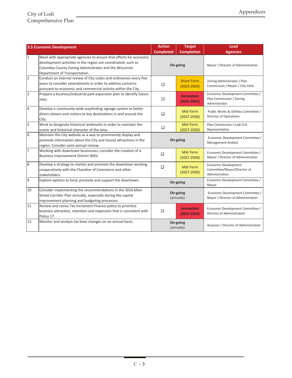|                | 3.5 Economic Development                                                                                                                                                                                                       | <b>Action</b>          | <b>Target</b>                        | Lead                                                                          |
|----------------|--------------------------------------------------------------------------------------------------------------------------------------------------------------------------------------------------------------------------------|------------------------|--------------------------------------|-------------------------------------------------------------------------------|
|                |                                                                                                                                                                                                                                | <b>Completed</b>       | <b>Completion</b>                    | <b>Agencies</b>                                                               |
| I1             | Meet with appropriate agencies to ensure that efforts for economic<br>development activities in the region are coordinated, such as<br>Columbia County Zoning Administrator and the Wisconsin<br>Department of Transportation. |                        | On-going                             | Mayor / Director of Administration                                            |
| $\overline{2}$ | Conduct an internal review of City codes and ordinances every five<br>vears to consider amendments in order to address concerns<br>pursuant to economic and commercial activity within the City.                               | $\Box$                 | <b>Short-Term</b><br>$(2023 - 2026)$ | Zoning Administrator / Plan<br>Commission / Mayor / City Clerk                |
| 3              | Prepare a business/industrial park expansion plan to identify future<br>sites.                                                                                                                                                 | $\Box$                 | <b>Immediate</b><br>$(2021 - 2022)$  | Economic Development Committee /<br>Plan Commission / Zoning<br>Administrator |
| $\overline{4}$ | Develop a community-wide wayfinding signage system to better<br>direct citizens and visitors to key destinations in and around the<br>City.                                                                                    | □                      | Mid-Term<br>$(2027 - 2030)$          | Public Works & Utilities Committee /<br>Director of Operations                |
| 5              | Work to designate historical landmarks in order to maintain the<br>scenic and historical character of the area.                                                                                                                | □                      | Mid-Term<br>$(2027 - 2030)$          | Plan Commission / Lodi CLG<br>Representative                                  |
| 6              | Maintain the City website as a way to prominently display and<br>promote information about the City and tourist attractions in the<br>region. Consider semi-annual review.                                                     | On-going               |                                      | Economic Development Committee /<br><b>Management Analyst</b>                 |
| 7              | Working with downtown businesses, consider the creation of a<br>Business Improvement District (BID).                                                                                                                           | □                      | Mid-Term<br>$(2027 - 2030)$          | Economic Development Committee /<br>Mayor / Director of Administration        |
| 8              | Develop a strategy to market and promote the downtown working<br>cooperatively with the Chamber of Commerce and other<br>stakeholders.                                                                                         | $\Box$                 | Mid-Term<br>$(2027 - 2030)$          | Economic Development<br>Committee/Mayor/Director of<br>Administration         |
| 9              | Explore options to fund, promote and support the downtown.                                                                                                                                                                     | On-going               |                                      | Economic Development Committee /<br>Mayor                                     |
| 10             | Consider implementing the recommendations in the 2016 Main<br>Street Corridor Plan annually, especially during the capital<br>improvement planning and budgeting processes.                                                    | On-going<br>(annually) |                                      | Economic Development Committee /<br>Mayor / Director of Administration        |
| 11             | Review and revise Tax Increment Finance policy to prioritize<br>business attraction, retention and expansion that is consistent with<br>Policy 17.                                                                             | $\Box$                 | <b>Immediate</b><br>$(2021 - 2022)$  | Economic Development Committee /<br>Director of Administration                |
| 12             | Monitor and analyze tax base changes on an annual basis.                                                                                                                                                                       |                        | On-going<br>(annually)               | Assessor / Director of Administration                                         |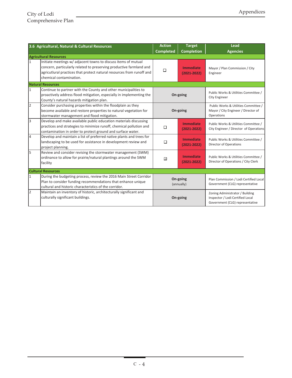|                | 3.6 Agricultural, Natural & Cultural Resources                                                                                                                                                                                            | <b>Action</b>            | <b>Target</b>                       | Lead                                                                                                   |
|----------------|-------------------------------------------------------------------------------------------------------------------------------------------------------------------------------------------------------------------------------------------|--------------------------|-------------------------------------|--------------------------------------------------------------------------------------------------------|
|                |                                                                                                                                                                                                                                           | <b>Completed</b>         | <b>Completion</b>                   | <b>Agencies</b>                                                                                        |
|                | <b>Agricultural Resources</b>                                                                                                                                                                                                             |                          |                                     |                                                                                                        |
| $\vert$ 1      | Initiate meetings w/ adjacent towns to discuss items of mutual<br>concern, particularly related to preserving productive farmland and<br>agricutlural practices that protect natural resources from runoff and<br>chemical contamination. | $\Box$                   | <b>Immediate</b><br>$(2021 - 2022)$ | Mayor / Plan Commission / City<br>Engineer                                                             |
|                | <b>Natural Resources</b>                                                                                                                                                                                                                  |                          |                                     |                                                                                                        |
| $\vert$ 1      | Continue to partner with the County and other municipalities to<br>proactively address flood mitigation, especially in implementing the<br>County's natural hazards mitigation plan.                                                      |                          | On-going                            | Public Works & Utilities Committee /<br><b>City Engineer</b>                                           |
| $\overline{2}$ | Consider purchasing properties within the floodplain as they<br>become available and restore properties to natural vegetation for<br>stormwater management and flood mitigation.                                                          |                          | On-going                            | Public Works & Utilities Committee /<br>Mayor / City Engineer / Director of<br>Operations              |
| 3              | Develop and make available public education materials discussing<br>practices and strategies to minimize runoff, chemical pollution and<br>contamination in order to protect ground and surface water.                                    | □                        | <b>Immediate</b><br>$(2021 - 2022)$ | Public Works & Utilities Committee /<br>City Engineer / Director of Operations                         |
| $\overline{4}$ | Develop and maintain a list of preferred native plants and trees for<br>landscaping to be used for assistance in development review and<br>project planning.                                                                              | $\Box$                   | <b>Immediate</b><br>$(2021 - 2022)$ | Public Works & Utilities Committee /<br><b>Director of Operations</b>                                  |
| 5              | Review and consider revising the stormwater management (SWM)<br>ordinance to allow for prairie/natural plantings around the SWM<br>facility                                                                                               | $\overline{\phantom{a}}$ | <b>Immediate</b><br>$(2021 - 2022)$ | Public Works & Utilities Committee /<br>Director of Operations / City Clerk                            |
|                | <b>Cultural Resources</b>                                                                                                                                                                                                                 |                          |                                     |                                                                                                        |
| 1              | During the budgeting process, review the 2016 Main Street Corridor<br>Plan to consider funding recommendations that enhance unique<br>cultural and historic characteristics of the corridor.                                              | On-going<br>(annually)   |                                     | Plan Commission / Lodi Certified Local<br>Government (CLG) representative                              |
| $\overline{2}$ | Maintain an inventory of historic, architecturally significant and<br>culturally significant buildings.                                                                                                                                   |                          | On-going                            | Zoning Administrator / Building<br>Inspector / Lodi Certified Local<br>Government (CLG) representative |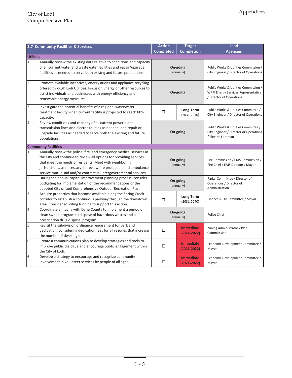|                             | 3.7 Community Facilities & Services                                                                                                                                                                                                                                                                                                               | <b>Action</b>          | <b>Target</b>                       | <b>Lead</b>                                                                                              |  |  |
|-----------------------------|---------------------------------------------------------------------------------------------------------------------------------------------------------------------------------------------------------------------------------------------------------------------------------------------------------------------------------------------------|------------------------|-------------------------------------|----------------------------------------------------------------------------------------------------------|--|--|
|                             |                                                                                                                                                                                                                                                                                                                                                   | <b>Completed</b>       | <b>Completion</b>                   | <b>Agencies</b>                                                                                          |  |  |
| <b>Utilities</b>            |                                                                                                                                                                                                                                                                                                                                                   |                        |                                     |                                                                                                          |  |  |
| $\mathbf{1}$                | Annually review the existing data relative to conditions and capacity<br>of all current water and wastewater facilities and repair/upgrade<br>facilities as needed to serve both existng and future populations.                                                                                                                                  |                        | On-going<br>(annually)              | Public Works & Utilities Commission /<br>City Engineer / Director of Operations                          |  |  |
| $\overline{2}$              | Promote available incentives, energy audits and appliance recycling<br>offered through Lodi Utilities, Focus on Energy or other resources to<br>assist individuals and businesses with energy efficiency and<br>renewable energy measures.                                                                                                        | On-going               |                                     | Public Works & Utilities Commission /<br>WPPI Energy Services Representative<br>/ Director of Operations |  |  |
| $\overline{3}$              | Investigate the potential benefits of a regional wastewater<br>treatment facility when current facility is projected to reach 80%<br>capacity.                                                                                                                                                                                                    | □                      | Long-Term<br>$(2031 - 2040)$        | Public Works & Utilities Committee /<br>City Engineer / Director of Operations                           |  |  |
| 4                           | Review conditions and capacity of all current power plant,<br>transmission lines and electric utilities as needed, and repair or<br>upgrade facilities as needed to serve both the existing and future<br>populations.                                                                                                                            | On-going               |                                     | Public Works & Utilities Committee /<br>City Engineer / Director of Operations<br>/ Electric Foreman     |  |  |
| <b>Community Facilities</b> |                                                                                                                                                                                                                                                                                                                                                   |                        |                                     |                                                                                                          |  |  |
| $\mathbf 1$                 | Annually review the police, fire, and emergency medical services in<br>the City and continue to review all options for providing services<br>that meet the needs of residents. Meet with neighboring<br>jurisdictions, as necessary, to review fire protection and ambulance<br>service mutual aid and/or contractual intergovernmental services. | On-going<br>(annually) |                                     | Fire Commission / EMS Commission /<br>Fire Chief / EMS Director / Mayor                                  |  |  |
| 2                           | During the annual capital improvement planning process, consider<br>budgeting for implementation of the recommendations of the<br>adopted City of Lodi Comprehensive Outdoor Recreation Plan.                                                                                                                                                     | On-going<br>(annually) |                                     | Parks Committee / Director of<br>Operations / Director of<br>Administration                              |  |  |
| 3                           | Acquire properties that become available along the Spring Creek<br>corridor to establish a continuous parkway through the downtown<br>area. Consider soliciting funding to support this action.                                                                                                                                                   | □                      | Long-Term<br>$(2031 - 2040)$        | Finance & HR Committee / Mayor                                                                           |  |  |
| $\overline{4}$              | Coordinate annually with Dane County to implement a periodic<br>clean sweep program to dispose of hazardous wastes and a<br>prescription drug disposal program.                                                                                                                                                                                   | On-going<br>(annually) |                                     | Police Chief                                                                                             |  |  |
| 5                           | Revisit the subdivision ordinance requirement for parkland<br>dedication, considering dedication fees for all rezones that increase<br>the number of dwelling units.                                                                                                                                                                              | $\Box$                 | <b>Immediate</b><br>$(2021 - 2022)$ | Zoning Administrator / Plan<br>Commisssion                                                               |  |  |
| 6                           | Create a communications plan to develop strategies and tools to<br>improve public dialogue and encourage public engagement within<br>the City of Lodi.                                                                                                                                                                                            | □                      | <b>Immediate</b><br>$(2021 - 2022)$ | Economic Development Committee /<br>Mayor                                                                |  |  |
| 6                           | Develop a strategy to encourage and recognize community<br>involvement in volunteer services by people of all ages.                                                                                                                                                                                                                               | □                      | <b>Immediate</b><br>$(2021 - 2022)$ | Economic Development Committee /<br>Mayor                                                                |  |  |